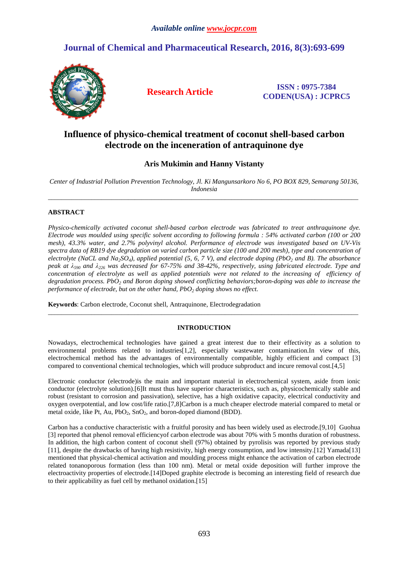# **Journal of Chemical and Pharmaceutical Research, 2016, 8(3):693-699**



**Research Article ISSN : 0975-7384 CODEN(USA) : JCPRC5**

## **Influence of physico-chemical treatment of coconut shell-based carbon electrode on the inceneration of antraquinone dye**

## **Aris Mukimin and Hanny Vistanty**

*Center of Industrial Pollution Prevention Technology, Jl. Ki Mangunsarkoro No 6, PO BOX 829, Semarang 50136, Indonesia*  \_\_\_\_\_\_\_\_\_\_\_\_\_\_\_\_\_\_\_\_\_\_\_\_\_\_\_\_\_\_\_\_\_\_\_\_\_\_\_\_\_\_\_\_\_\_\_\_\_\_\_\_\_\_\_\_\_\_\_\_\_\_\_\_\_\_\_\_\_\_\_\_\_\_\_\_\_\_\_\_\_\_\_\_\_\_\_\_\_\_\_\_\_

### **ABSTRACT**

*Physico-chemically activated coconut shell-based carbon electrode was fabricated to treat anthraquinone dye. Electrode was moulded using specific solvent according to following formula : 54% activated carbon (100 or 200 mesh), 43.3% water, and 2.7% polyvinyl alcohol. Performance of electrode was investigated based on UV-Vis spectra data of RB19 dye degradation on varied carbon particle size (100 and 200 mesh), type and concentration of electrolyte (NaCL and Na2SO4), applied potential (5, 6, 7 V), and electrode doping (PbO2 and B). The absorbance peak at λ590 and λ226 was decreased for 67-75% and 38-42%, respectively, using fabricated electrode. Type and*  concentration of electrolyte as well as applied potentials were not related to the increasing of efficiency of *degradation process. PbO2 and Boron doping showed conflicting behaviors;boron-doping was able to increase the performance of electrode, but on the other hand, PbO2 doping shows no effect.* 

**Keywords**: Carbon electrode, Coconut shell, Antraquinone, Electrodegradation

### **INTRODUCTION**

\_\_\_\_\_\_\_\_\_\_\_\_\_\_\_\_\_\_\_\_\_\_\_\_\_\_\_\_\_\_\_\_\_\_\_\_\_\_\_\_\_\_\_\_\_\_\_\_\_\_\_\_\_\_\_\_\_\_\_\_\_\_\_\_\_\_\_\_\_\_\_\_\_\_\_\_\_\_\_\_\_\_\_\_\_\_\_\_\_\_\_\_\_

Nowadays, electrochemical technologies have gained a great interest due to their effectivity as a solution to environmental problems related to industries[1,2], especially wastewater contamination.In view of this, electrochemical method has the advantages of environmentally compatible, highly efficient and compact [3] compared to conventional chemical technologies, which will produce subproduct and incure removal cost.[4,5]

Electronic conductor (electrode)is the main and important material in electrochemical system, aside from ionic conductor (electrolyte solution).[6]It must thus have superior characteristics, such as, physicochemically stable and robust (resistant to corrosion and passivation), selective, has a high oxidative capacity, electrical conductivity and oxygen overpotential, and low cost/life ratio.[7,8]Carbon is a much cheaper electrode material compared to metal or metal oxide, like Pt, Au,  $PbO_2$ , SnO<sub>2</sub>, and boron-doped diamond (BDD).

Carbon has a conductive characteristic with a fruitful porosity and has been widely used as electrode.[9,10] Guohua [3] reported that phenol removal efficiency of carbon electrode was about 70% with 5 months duration of robustness. In addition, the high carbon content of coconut shell (97%) obtained by pyrolisis was reported by previous study [11], despite the drawbacks of having high resistivity, high energy consumption, and low intensity.[12] Yamada[13] mentioned that physical-chemical activation and moulding process might enhance the activation of carbon electrode related tonanoporous formation (less than 100 nm). Metal or metal oxide deposition will further improve the electroactivity properties of electrode.[14]Doped graphite electrode is becoming an interesting field of research due to their applicability as fuel cell by methanol oxidation.[15]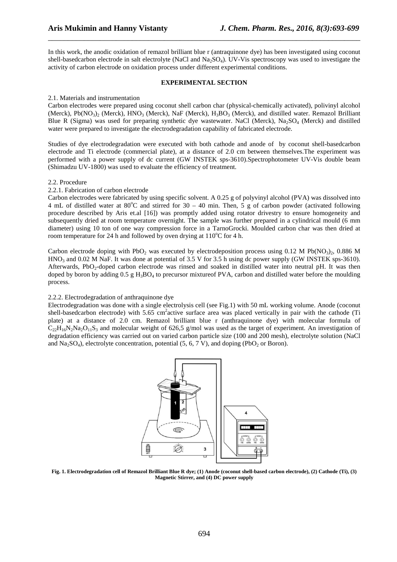In this work, the anodic oxidation of remazol brilliant blue r (antraquinone dye) has been investigated using coconut shell-basedcarbon electrode in salt electrolyte (NaCl and Na<sub>2</sub>SO<sub>4</sub>). UV-Vis spectroscopy was used to investigate the activity of carbon electrode on oxidation process under different experimental conditions.

\_\_\_\_\_\_\_\_\_\_\_\_\_\_\_\_\_\_\_\_\_\_\_\_\_\_\_\_\_\_\_\_\_\_\_\_\_\_\_\_\_\_\_\_\_\_\_\_\_\_\_\_\_\_\_\_\_\_\_\_\_\_\_\_\_\_\_\_\_\_\_\_\_\_\_\_\_\_

#### **EXPERIMENTAL SECTION**

#### 2.1. Materials and instrumentation

Carbon electrodes were prepared using coconut shell carbon char (physical-chemically activated), polivinyl alcohol (Merck),  $Pb(NO_3)_2$  (Merck),  $HNO_3$  (Merck), NaF (Merck),  $H_3BO_3$  (Merck), and distilled water. Remazol Brilliant Blue R (Sigma) was used for preparing synthetic dye wastewater. NaCl (Merck),  $Na_2SO_4$  (Merck) and distilled water were prepared to investigate the electrodegradation capability of fabricated electrode.

Studies of dye electrodegradation were executed with both cathode and anode of by coconut shell-basedcarbon electrode and Ti electrode (commercial plate), at a distance of 2.0 cm between themselves.The experiment was performed with a power supply of dc current (GW INSTEK sps-3610).Spectrophotometer UV-Vis double beam (Shimadzu UV-1800) was used to evaluate the efficiency of treatment.

#### 2.2. Procedure

#### 2.2.1. Fabrication of carbon electrode

Carbon electrodes were fabricated by using specific solvent. A 0.25 g of polyvinyl alcohol (PVA) was dissolved into 4 mL of distilled water at 80 $^{\circ}$ C and stirred for 30 – 40 min. Then, 5 g of carbon powder (activated following procedure described by Aris et.al [16]) was promptly added using rotator drivestry to ensure homogeneity and subsequently dried at room temperature overnight. The sample was further prepared in a cylindrical mould (6 mm diameter) using 10 ton of one way compression force in a TarnoGrocki. Moulded carbon char was then dried at room temperature for 24 h and followed by oven drying at  $110^{\circ}$ C for 4 h.

Carbon electrode doping with PbO<sub>2</sub> was executed by electrodeposition process using 0.12 M Pb(NO<sub>3</sub>)<sub>2</sub>, 0.886 M HNO<sub>3</sub> and 0.02 M NaF. It was done at potential of 3.5 V for 3.5 h using dc power supply (GW INSTEK sps-3610). Afterwards, PbO<sub>2</sub>-doped carbon electrode was rinsed and soaked in distilled water into neutral pH. It was then doped by boron by adding  $0.5 \text{ g H}_3BO_4$  to precursor mixture of PVA, carbon and distilled water before the moulding process.

#### 2.2.2. Electrodegradation of anthraquinone dye

Electrodegradation was done with a single electrolysis cell (see Fig.1) with 50 mL working volume. Anode (coconut shell-basedcarbon electrode) with 5.65 cm<sup>2</sup>active surface area was placed vertically in pair with the cathode (Ti plate) at a distance of 2.0 cm. Remazol brilliant blue r (anthraquinone dye) with molecular formula of  $C_{22}H_{16}N_2N_4$ ,  $O_{11}S_3$  and molecular weight of 626,5 g/mol was used as the target of experiment. An investigation of degradation efficiency was carried out on varied carbon particle size (100 and 200 mesh), electrolyte solution (NaCl and  $Na<sub>2</sub>SO<sub>4</sub>$ ), electrolyte concentration, potential (5, 6, 7 V), and doping (PbO<sub>2</sub> or Boron).



**Fig. 1. Electrodegradation cell of Remazol Brilliant Blue R dye; (1) Anode (coconut shell-based carbon electrode), (2) Cathode (Ti), (3) Magnetic Stirrer, and (4) DC power supply**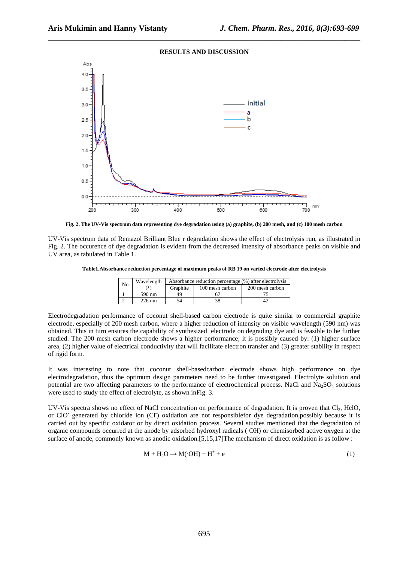

\_\_\_\_\_\_\_\_\_\_\_\_\_\_\_\_\_\_\_\_\_\_\_\_\_\_\_\_\_\_\_\_\_\_\_\_\_\_\_\_\_\_\_\_\_\_\_\_\_\_\_\_\_\_\_\_\_\_\_\_\_\_\_\_\_\_\_\_\_\_\_\_\_\_\_\_\_\_

**Fig. 2. The UV-Vis spectrum data representing dye degradation using (a) graphite, (b) 200 mesh, and (c) 100 mesh carbon** 

UV-Vis spectrum data of Remazol Brilliant Blue r degradation shows the effect of electrolysis run, as illustrated in Fig. 2. The occurence of dye degradation is evident from the decreased intensity of absorbance peaks on visible and UV area, as tabulated in Table 1.

**Table1.Absorbance reduction percentage of maximum peaks of RB 19 on varied electrode after electrolysis** 

| No | Wavelength | Absorbance reduction percentage (%) after electrolysis |                 |                 |
|----|------------|--------------------------------------------------------|-----------------|-----------------|
|    | V)         | Graphite                                               | 100 mesh carbon | 200 mesh carbon |
|    | 590 nm     | 49                                                     |                 |                 |
|    | $226$ nm   |                                                        | 38              |                 |

Electrodegradation performance of coconut shell-based carbon electrode is quite similar to commercial graphite electrode, especially of 200 mesh carbon, where a higher reduction of intensity on visible wavelength (590 nm) was obtained. This in turn ensures the capability of synthesized electrode on degrading dye and is feasible to be further studied. The 200 mesh carbon electrode shows a higher performance; it is possibly caused by: (1) higher surface area, (2) higher value of electrical conductivity that will facilitate electron transfer and (3) greater stability in respect of rigid form.

It was interesting to note that coconut shell-basedcarbon electrode shows high performance on dye electrodegradation, thus the optimum design parameters need to be further investigated. Electrolyte solution and potential are two affecting parameters to the performance of electrochemical process. NaCl and  $Na<sub>2</sub>SO<sub>4</sub>$  solutions were used to study the effect of electrolyte, as shown inFig. 3.

UV-Vis spectra shows no effect of NaCl concentration on performance of degradation. It is proven that Cl<sub>2</sub>, HclO, or ClO<sup>-</sup> generated by chloride ion (Cl<sup>-</sup>) oxidation are not responsiblefor dye degradation,possibly because it is carried out by specific oxidator or by direct oxidation process. Several studies mentioned that the degradation of organic compounds occurred at the anode by adsorbed hydroxyl radicals (·OH) or chemisorbed active oxygen at the surface of anode, commonly known as anodic oxidation.[5,15,17]The mechanism of direct oxidation is as follow :

$$
M + H_2O \rightarrow M(\cdot OH) + H^+ + e \tag{1}
$$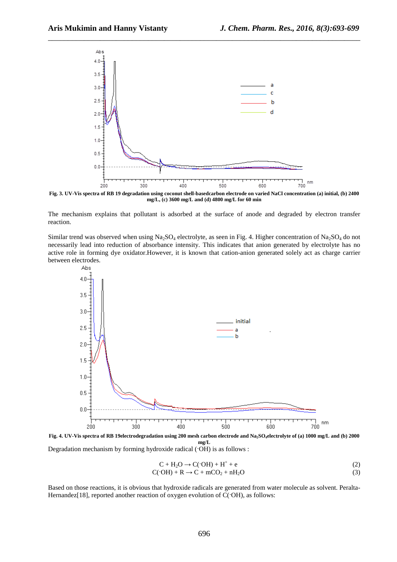

\_\_\_\_\_\_\_\_\_\_\_\_\_\_\_\_\_\_\_\_\_\_\_\_\_\_\_\_\_\_\_\_\_\_\_\_\_\_\_\_\_\_\_\_\_\_\_\_\_\_\_\_\_\_\_\_\_\_\_\_\_\_\_\_\_\_\_\_\_\_\_\_\_\_\_\_\_\_

**Fig. 3. UV-Vis spectra of RB 19 degradation using coconut shell-basedcarbon electrode on varied NaCl concentration (a) initial, (b) 2400 mg/L, (c) 3600 mg/L and (d) 4800 mg/L for 60 min** 

The mechanism explains that pollutant is adsorbed at the surface of anode and degraded by electron transfer reaction.

Similar trend was observed when using  $Na<sub>2</sub>SO<sub>4</sub>$  electrolyte, as seen in Fig. 4. Higher concentration of  $Na<sub>2</sub>SO<sub>4</sub>$  do not necessarily lead into reduction of absorbance intensity. This indicates that anion generated by electrolyte has no active role in forming dye oxidator.However, it is known that cation-anion generated solely act as charge carrier between electrodes.



**Fig. 4. UV-Vis spectra of RB 19electrodegradation using 200 mesh carbon electrode and Na2SO4electrolyte of (a) 1000 mg/L and (b) 2000 mg/L** 

Degradation mechanism by forming hydroxide radical  $(OH)$  is as follows :

$$
C + H_2O \rightarrow C(OH) + H^+ + e \tag{2}
$$

 $C(\text{·}OH) + R \rightarrow C + \text{mCO}_2 + \text{nH}_2\text{O}$  (3)

Based on those reactions, it is obvious that hydroxide radicals are generated from water molecule as solvent. Peralta-Hernandez<sup>[18]</sup>, reported another reaction of oxygen evolution of C( $\cdot$ OH), as follows: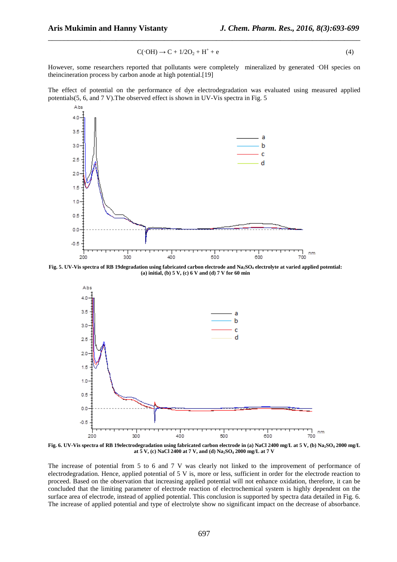$$
C(\cdot \text{OH}) \to C + 1/2O_2 + H^+ + e \tag{4}
$$

However, some researchers reported that pollutants were completely mineralized by generated ·OH species on theincineration process by carbon anode at high potential.[19]

\_\_\_\_\_\_\_\_\_\_\_\_\_\_\_\_\_\_\_\_\_\_\_\_\_\_\_\_\_\_\_\_\_\_\_\_\_\_\_\_\_\_\_\_\_\_\_\_\_\_\_\_\_\_\_\_\_\_\_\_\_\_\_\_\_\_\_\_\_\_\_\_\_\_\_\_\_\_

The effect of potential on the performance of dye electrodegradation was evaluated using measured applied potentials(5, 6, and 7 V).The observed effect is shown in UV-Vis spectra in Fig. 5



**Fig. 5. UV-Vis spectra of RB 19degradation using fabricated carbon electrode and Na2SO4 electrolyte at varied applied potential: (a) initial, (b) 5 V, (c) 6 V and (d) 7 V for 60 min** 



**Fig. 6. UV-Vis spectra of RB 19electrodegradation using fabricated carbon electrode in (a) NaCl 2400 mg/L at 5 V, (b) Na2SO4 2000 mg/L at 5 V, (c) NaCl 2400 at 7 V, and (d) Na2SO4 2000 mg/L at 7 V** 

The increase of potential from 5 to 6 and 7 V was clearly not linked to the improvement of performance of electrodegradation. Hence, applied potential of 5 V is, more or less, sufficient in order for the electrode reaction to proceed. Based on the observation that increasing applied potential will not enhance oxidation, therefore, it can be concluded that the limiting parameter of electrode reaction of electrochemical system is highly dependent on the surface area of electrode, instead of applied potential. This conclusion is supported by spectra data detailed in Fig. 6. The increase of applied potential and type of electrolyte show no significant impact on the decrease of absorbance.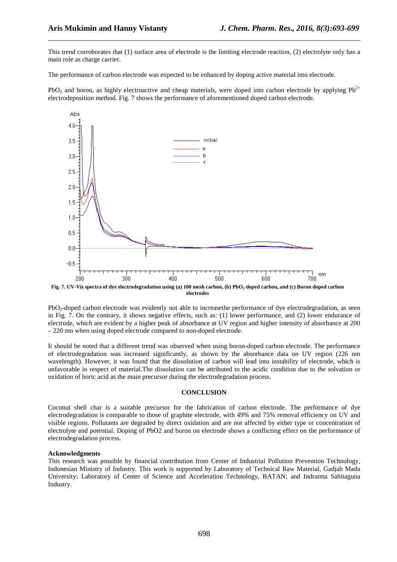This trend corroborates that (1) surface area of electrode is the limiting electrode reaction, (2) electrolyte only has a main role as charge carrier.

\_\_\_\_\_\_\_\_\_\_\_\_\_\_\_\_\_\_\_\_\_\_\_\_\_\_\_\_\_\_\_\_\_\_\_\_\_\_\_\_\_\_\_\_\_\_\_\_\_\_\_\_\_\_\_\_\_\_\_\_\_\_\_\_\_\_\_\_\_\_\_\_\_\_\_\_\_\_

The performance of carbon electrode was expected to be enhanced by doping active material into electrode.

PbO<sub>2</sub> and boron, as highly electroactive and cheap materials, were doped into carbon electrode by applying  $Pb^{2+}$ electrodeposition method. Fig. 7 shows the performance of aforementioned doped carbon electrode.



**Fig. 7. UV-Vis spectra of dye electrodegradation using (a) 100 mesh carbon, (b) PbO2 doped carbon, and (c) Boron doped carbon electrodes** 

PbO<sub>2</sub>-doped carbon electrode was evidently not able to increasethe performance of dye electrodegradation, as seen in Fig. 7. On the contrary, it shows negative effects, such as: (1) lower performance, and (2) lower endurance of electrode, which are evident by a higher peak of absorbance at UV region and higher intensity of absorbance at 200 – 220 nm when using doped electrode compared to non-doped electrode.

It should be noted that a different trend was observed when using boron-doped carbon electrode. The performance of electrodegradation was increased significantly, as shown by the absorbance data on UV region (226 nm wavelength). However, it was found that the dissolution of carbon will lead into instability of electrode, which is unfavorable in respect of material.The dissolution can be attributed to the acidic condition due to the solvation or oxidation of boric acid as the main precursor during the electrodegradation process.

#### **CONCLUSION**

Coconut shell char is a suitable precursor for the fabrication of carbon electrode. The performance of dye electrodegradation is comparable to those of graphite electrode, with 49% and 75% removal efficiency on UV and visible regions. Pollutants are degraded by direct oxidation and are not affected by either type or concentration of electrolyte and potential. Doping of PbO2 and boron on electrode shows a conflicting effect on the performance of electrodegradation process.

#### **Acknowledgments**

This research was possible by financial contribution from Center of Industrial Pollution Prevention Technology, Indonesian Ministry of Industry. This work is supported by Laboratory of Technical Raw Material, Gadjah Mada University; Laboratory of Center of Science and Acceleration Technology, BATAN; and Indratma Sahitaguna Industry.